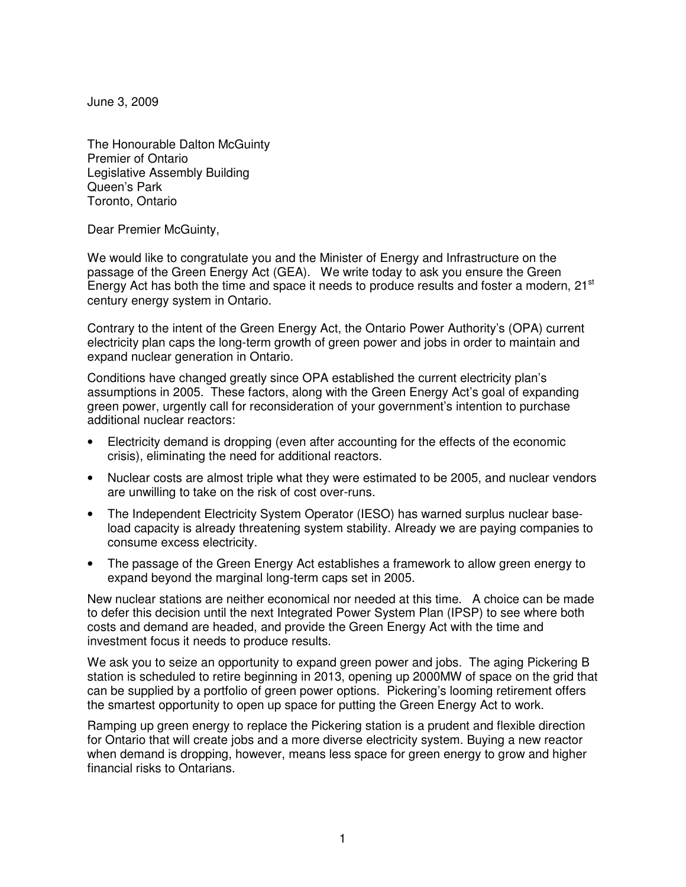June 3, 2009

The Honourable Dalton McGuinty Premier of Ontario Legislative Assembly Building Queen's Park Toronto, Ontario

Dear Premier McGuinty,

We would like to congratulate you and the Minister of Energy and Infrastructure on the passage of the Green Energy Act (GEA). We write today to ask you ensure the Green Energy Act has both the time and space it needs to produce results and foster a modern,  $21<sup>st</sup>$ century energy system in Ontario.

Contrary to the intent of the Green Energy Act, the Ontario Power Authority's (OPA) current electricity plan caps the long-term growth of green power and jobs in order to maintain and expand nuclear generation in Ontario.

Conditions have changed greatly since OPA established the current electricity plan's assumptions in 2005. These factors, along with the Green Energy Act's goal of expanding green power, urgently call for reconsideration of your government's intention to purchase additional nuclear reactors:

- Electricity demand is dropping (even after accounting for the effects of the economic crisis), eliminating the need for additional reactors.
- Nuclear costs are almost triple what they were estimated to be 2005, and nuclear vendors are unwilling to take on the risk of cost over-runs.
- The Independent Electricity System Operator (IESO) has warned surplus nuclear baseload capacity is already threatening system stability. Already we are paying companies to consume excess electricity.
- The passage of the Green Energy Act establishes a framework to allow green energy to expand beyond the marginal long-term caps set in 2005.

New nuclear stations are neither economical nor needed at this time. A choice can be made to defer this decision until the next Integrated Power System Plan (IPSP) to see where both costs and demand are headed, and provide the Green Energy Act with the time and investment focus it needs to produce results.

We ask you to seize an opportunity to expand green power and jobs. The aging Pickering B station is scheduled to retire beginning in 2013, opening up 2000MW of space on the grid that can be supplied by a portfolio of green power options. Pickering's looming retirement offers the smartest opportunity to open up space for putting the Green Energy Act to work.

Ramping up green energy to replace the Pickering station is a prudent and flexible direction for Ontario that will create jobs and a more diverse electricity system. Buying a new reactor when demand is dropping, however, means less space for green energy to grow and higher financial risks to Ontarians.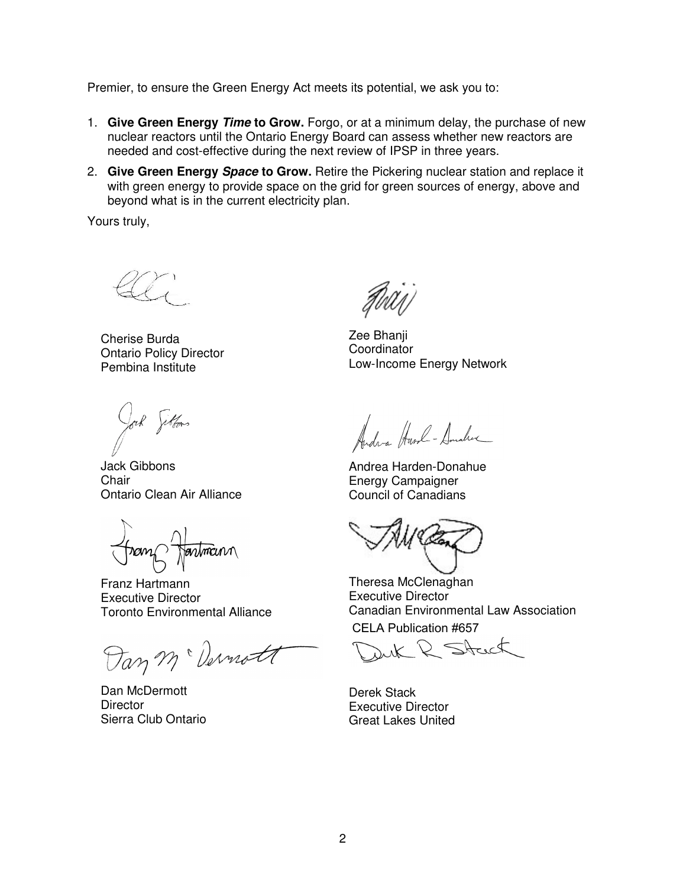Premier, to ensure the Green Energy Act meets its potential, we ask you to:

- 1. **Give Green Energy Time to Grow.** Forgo, or at a minimum delay, the purchase of new nuclear reactors until the Ontario Energy Board can assess whether new reactors are needed and cost-effective during the next review of IPSP in three years.
- 2. **Give Green Energy Space to Grow.** Retire the Pickering nuclear station and replace it with green energy to provide space on the grid for green sources of energy, above and beyond what is in the current electricity plan.

Yours truly,

Cherise Burda Ontario Policy Director Pembina Institute

Jack Gibbons **Chair** Ontario Clean Air Alliance

armann

Franz Hartmann Executive Director Toronto Environmental Alliance

Dan m Dernott

Dan McDermott **Director** Sierra Club Ontario

Zee Bhanji **Coordinator** Low-Income Energy Network

Anders Huml- Small

Andrea Harden-Donahue Energy Campaigner Council of Canadians

Theresa McClenaghan Executive Director Canadian Environmental Law Association

CELA Publication #657

D Stack

Derek Stack Executive Director Great Lakes United